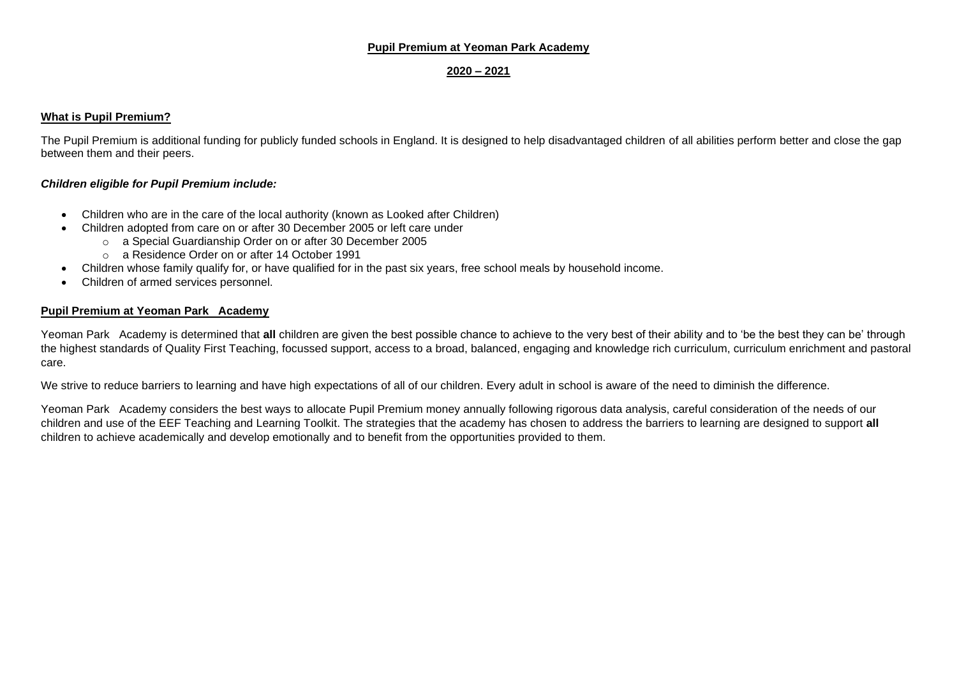#### **Pupil Premium at Yeoman Park Academy**

#### **2020 – 2021**

#### **What is Pupil Premium?**

The Pupil Premium is additional funding for publicly funded schools in England. It is designed to help disadvantaged children of all abilities perform better and close the gap between them and their peers.

#### *Children eligible for Pupil Premium include:*

- Children who are in the care of the local authority (known as Looked after Children)
- Children adopted from care on or after 30 December 2005 or left care under
	- o a Special Guardianship Order on or after 30 December 2005
	- o a Residence Order on or after 14 October 1991
- Children whose family qualify for, or have qualified for in the past six years, free school meals by household income.
- Children of armed services personnel.

#### **Pupil Premium at Yeoman Park Academy**

Yeoman Park Academy is determined that **all** children are given the best possible chance to achieve to the very best of their ability and to 'be the best they can be' through the highest standards of Quality First Teaching, focussed support, access to a broad, balanced, engaging and knowledge rich curriculum, curriculum enrichment and pastoral care.

We strive to reduce barriers to learning and have high expectations of all of our children. Every adult in school is aware of the need to diminish the difference.

Yeoman Park Academy considers the best ways to allocate Pupil Premium money annually following rigorous data analysis, careful consideration of the needs of our children and use of the EEF Teaching and Learning Toolkit. The strategies that the academy has chosen to address the barriers to learning are designed to support **all** children to achieve academically and develop emotionally and to benefit from the opportunities provided to them.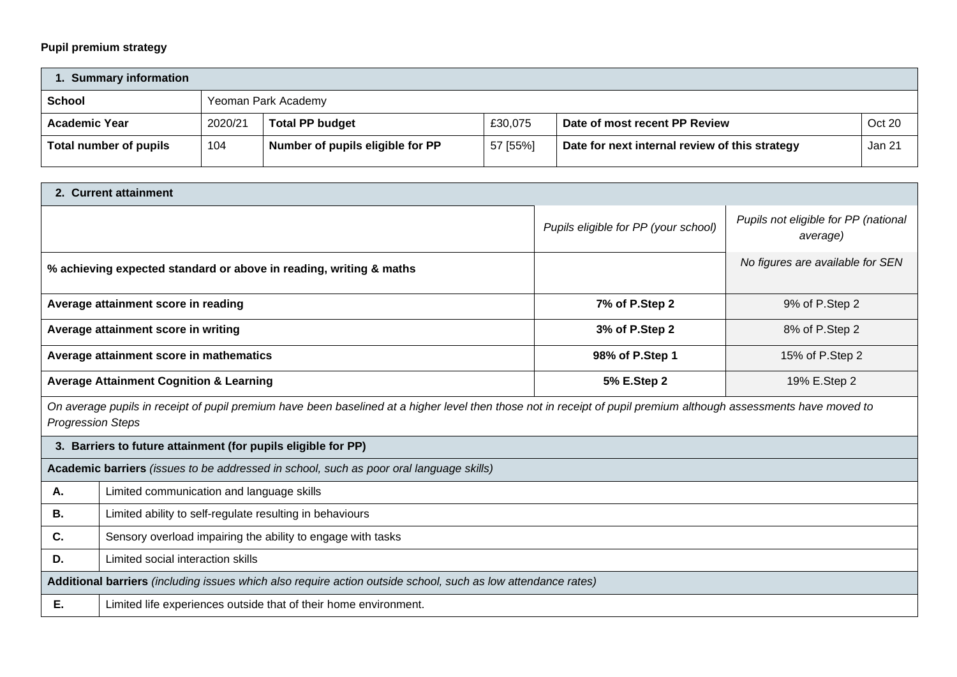## **Pupil premium strategy**

| <b>Summary information</b> |         |                                  |          |                                                |        |  |
|----------------------------|---------|----------------------------------|----------|------------------------------------------------|--------|--|
| School                     |         | Yeoman Park Academy              |          |                                                |        |  |
| <b>Academic Year</b>       | 2020/21 | <b>Total PP budget</b>           | £30,075  | Date of most recent PP Review                  | Oct 20 |  |
| Total number of pupils     | 104     | Number of pupils eligible for PP | 57 [55%] | Date for next internal review of this strategy | Jan 21 |  |

| 2. Current attainment                                                                                         |                                                                                                                                                                   |                                      |                                                  |  |  |  |
|---------------------------------------------------------------------------------------------------------------|-------------------------------------------------------------------------------------------------------------------------------------------------------------------|--------------------------------------|--------------------------------------------------|--|--|--|
|                                                                                                               |                                                                                                                                                                   | Pupils eligible for PP (your school) | Pupils not eligible for PP (national<br>average) |  |  |  |
|                                                                                                               | % achieving expected standard or above in reading, writing & maths                                                                                                |                                      | No figures are available for SEN                 |  |  |  |
|                                                                                                               | Average attainment score in reading                                                                                                                               | 7% of P.Step 2                       | 9% of P.Step 2                                   |  |  |  |
|                                                                                                               | Average attainment score in writing                                                                                                                               | 3% of P.Step 2                       | 8% of P.Step 2                                   |  |  |  |
|                                                                                                               | Average attainment score in mathematics                                                                                                                           | 98% of P.Step 1                      | 15% of P.Step 2                                  |  |  |  |
| <b>Average Attainment Cognition &amp; Learning</b><br>5% E.Step 2<br>19% E.Step 2                             |                                                                                                                                                                   |                                      |                                                  |  |  |  |
| <b>Progression Steps</b>                                                                                      | On average pupils in receipt of pupil premium have been baselined at a higher level then those not in receipt of pupil premium although assessments have moved to |                                      |                                                  |  |  |  |
| 3. Barriers to future attainment (for pupils eligible for PP)                                                 |                                                                                                                                                                   |                                      |                                                  |  |  |  |
|                                                                                                               | Academic barriers (issues to be addressed in school, such as poor oral language skills)                                                                           |                                      |                                                  |  |  |  |
| Α.                                                                                                            | Limited communication and language skills                                                                                                                         |                                      |                                                  |  |  |  |
| В.                                                                                                            | Limited ability to self-regulate resulting in behaviours                                                                                                          |                                      |                                                  |  |  |  |
| C.                                                                                                            | Sensory overload impairing the ability to engage with tasks                                                                                                       |                                      |                                                  |  |  |  |
| D.                                                                                                            | Limited social interaction skills                                                                                                                                 |                                      |                                                  |  |  |  |
| Additional barriers (including issues which also require action outside school, such as low attendance rates) |                                                                                                                                                                   |                                      |                                                  |  |  |  |
| Е.<br>Limited life experiences outside that of their home environment.                                        |                                                                                                                                                                   |                                      |                                                  |  |  |  |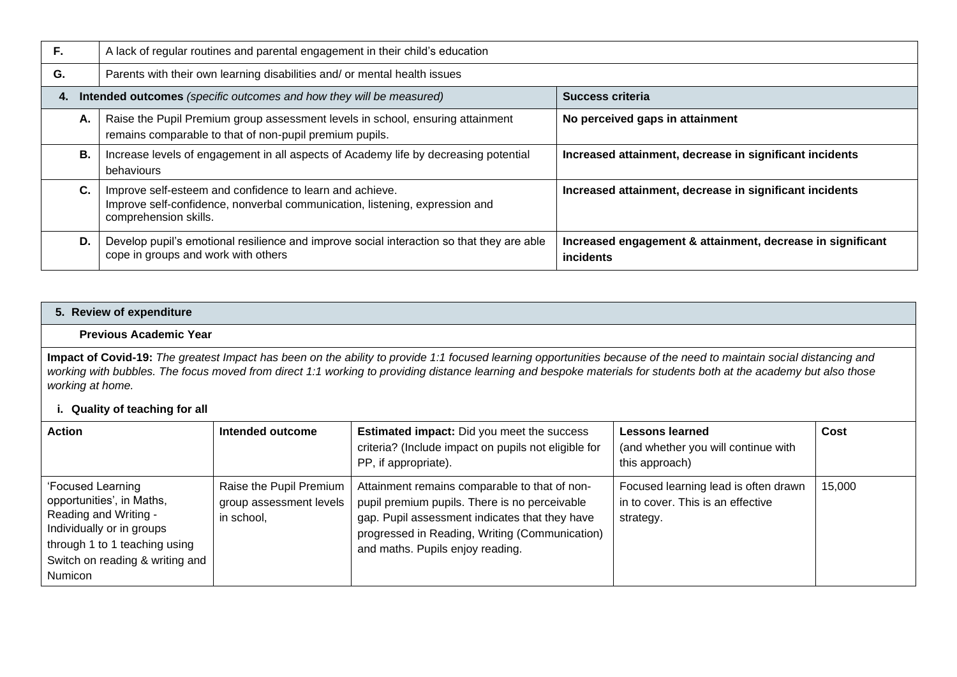| F. | A lack of regular routines and parental engagement in their child's education                                                                                    |                                                                         |  |  |  |
|----|------------------------------------------------------------------------------------------------------------------------------------------------------------------|-------------------------------------------------------------------------|--|--|--|
| G. | Parents with their own learning disabilities and/ or mental health issues                                                                                        |                                                                         |  |  |  |
| 4. | Intended outcomes (specific outcomes and how they will be measured)                                                                                              | <b>Success criteria</b>                                                 |  |  |  |
| А. | Raise the Pupil Premium group assessment levels in school, ensuring attainment<br>remains comparable to that of non-pupil premium pupils.                        | No perceived gaps in attainment                                         |  |  |  |
| В. | Increase levels of engagement in all aspects of Academy life by decreasing potential<br>behaviours                                                               | Increased attainment, decrease in significant incidents                 |  |  |  |
| C. | Improve self-esteem and confidence to learn and achieve.<br>Improve self-confidence, nonverbal communication, listening, expression and<br>comprehension skills. | Increased attainment, decrease in significant incidents                 |  |  |  |
| D. | Develop pupil's emotional resilience and improve social interaction so that they are able<br>cope in groups and work with others                                 | Increased engagement & attainment, decrease in significant<br>incidents |  |  |  |

### **5. Review of expenditure**

#### **Previous Academic Year**

**Impact of Covid-19:** *The greatest Impact has been on the ability to provide 1:1 focused learning opportunities because of the need to maintain social distancing and*  working with bubbles. The focus moved from direct 1:1 working to providing distance learning and bespoke materials for students both at the academy but also those *working at home.*

| i. Quality of teaching for all                                                                                                                                                      |                                                                  |                                                                                                                                                                                                                                        |                                                                                        |        |  |  |
|-------------------------------------------------------------------------------------------------------------------------------------------------------------------------------------|------------------------------------------------------------------|----------------------------------------------------------------------------------------------------------------------------------------------------------------------------------------------------------------------------------------|----------------------------------------------------------------------------------------|--------|--|--|
| <b>Action</b>                                                                                                                                                                       | Intended outcome                                                 | <b>Estimated impact:</b> Did you meet the success<br>criteria? (Include impact on pupils not eligible for<br>PP, if appropriate).                                                                                                      | Lessons learned<br>(and whether you will continue with<br>this approach)               | Cost   |  |  |
| 'Focused Learning<br>opportunities', in Maths,<br>Reading and Writing -<br>Individually or in groups<br>through 1 to 1 teaching using<br>Switch on reading & writing and<br>Numicon | Raise the Pupil Premium<br>group assessment levels<br>in school, | Attainment remains comparable to that of non-<br>pupil premium pupils. There is no perceivable<br>gap. Pupil assessment indicates that they have<br>progressed in Reading, Writing (Communication)<br>and maths. Pupils enjoy reading. | Focused learning lead is often drawn<br>in to cover. This is an effective<br>strategy. | 15,000 |  |  |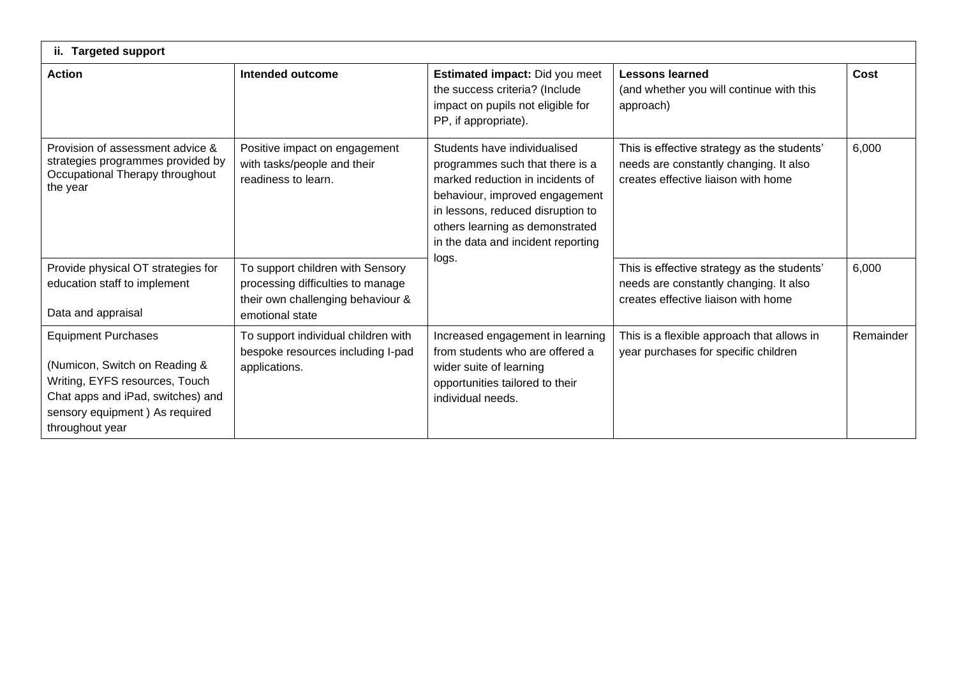| <b>Targeted support</b><br>ii.                                                                                                                                                          |                                                                                                                               |                                                                                                                                                                                                                                                     |                                                                                                                              |           |  |  |  |
|-----------------------------------------------------------------------------------------------------------------------------------------------------------------------------------------|-------------------------------------------------------------------------------------------------------------------------------|-----------------------------------------------------------------------------------------------------------------------------------------------------------------------------------------------------------------------------------------------------|------------------------------------------------------------------------------------------------------------------------------|-----------|--|--|--|
| <b>Action</b>                                                                                                                                                                           | Intended outcome                                                                                                              | Estimated impact: Did you meet<br>the success criteria? (Include<br>impact on pupils not eligible for<br>PP, if appropriate).                                                                                                                       | <b>Lessons learned</b><br>(and whether you will continue with this<br>approach)                                              | Cost      |  |  |  |
| Provision of assessment advice &<br>strategies programmes provided by<br>Occupational Therapy throughout<br>the year                                                                    | Positive impact on engagement<br>with tasks/people and their<br>readiness to learn.                                           | Students have individualised<br>programmes such that there is a<br>marked reduction in incidents of<br>behaviour, improved engagement<br>in lessons, reduced disruption to<br>others learning as demonstrated<br>in the data and incident reporting | This is effective strategy as the students'<br>needs are constantly changing. It also<br>creates effective liaison with home | 6,000     |  |  |  |
| Provide physical OT strategies for<br>education staff to implement<br>Data and appraisal                                                                                                | To support children with Sensory<br>processing difficulties to manage<br>their own challenging behaviour &<br>emotional state | logs.                                                                                                                                                                                                                                               | This is effective strategy as the students'<br>needs are constantly changing. It also<br>creates effective liaison with home | 6,000     |  |  |  |
| <b>Equipment Purchases</b><br>(Numicon, Switch on Reading &<br>Writing, EYFS resources, Touch<br>Chat apps and iPad, switches) and<br>sensory equipment) As required<br>throughout year | To support individual children with<br>bespoke resources including I-pad<br>applications.                                     | Increased engagement in learning<br>from students who are offered a<br>wider suite of learning<br>opportunities tailored to their<br>individual needs.                                                                                              | This is a flexible approach that allows in<br>year purchases for specific children                                           | Remainder |  |  |  |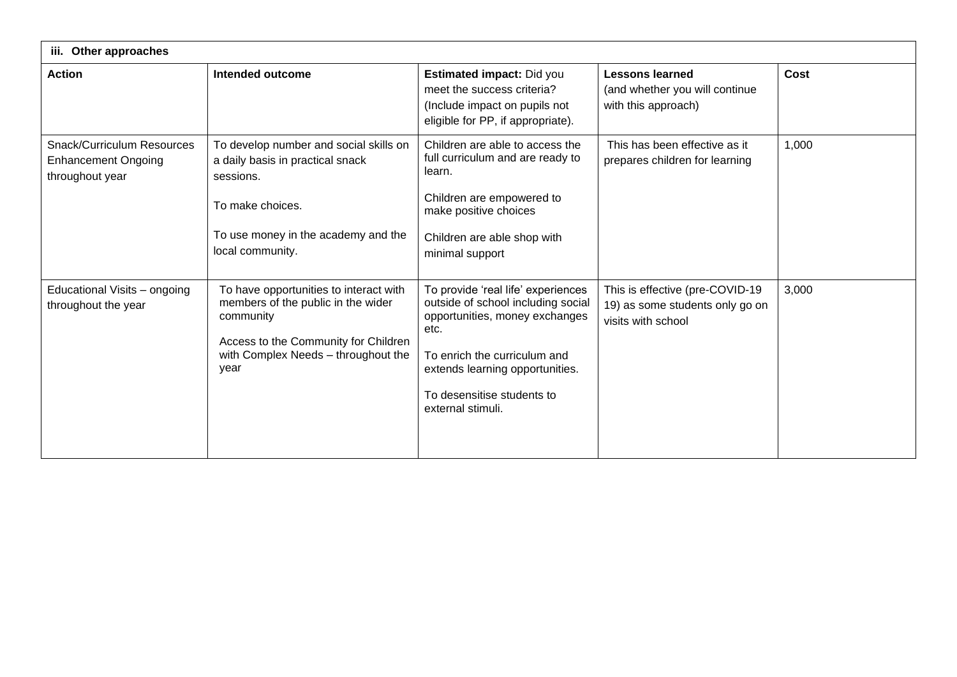| iii. Other approaches                                                       |                                                                                                                                                                                  |                                                                                                                                                                                                                                          |                                                                                          |       |  |  |
|-----------------------------------------------------------------------------|----------------------------------------------------------------------------------------------------------------------------------------------------------------------------------|------------------------------------------------------------------------------------------------------------------------------------------------------------------------------------------------------------------------------------------|------------------------------------------------------------------------------------------|-------|--|--|
| <b>Action</b>                                                               | <b>Intended outcome</b>                                                                                                                                                          | Estimated impact: Did you<br>meet the success criteria?<br>(Include impact on pupils not<br>eligible for PP, if appropriate).                                                                                                            | <b>Lessons learned</b><br>(and whether you will continue<br>with this approach)          | Cost  |  |  |
| Snack/Curriculum Resources<br><b>Enhancement Ongoing</b><br>throughout year | To develop number and social skills on<br>a daily basis in practical snack<br>sessions.<br>To make choices.<br>To use money in the academy and the<br>local community.           | Children are able to access the<br>full curriculum and are ready to<br>learn.<br>Children are empowered to<br>make positive choices<br>Children are able shop with<br>minimal support                                                    | This has been effective as it<br>prepares children for learning                          | 1,000 |  |  |
| Educational Visits - ongoing<br>throughout the year                         | To have opportunities to interact with<br>members of the public in the wider<br>community<br>Access to the Community for Children<br>with Complex Needs - throughout the<br>year | To provide 'real life' experiences<br>outside of school including social<br>opportunities, money exchanges<br>etc.<br>To enrich the curriculum and<br>extends learning opportunities.<br>To desensitise students to<br>external stimuli. | This is effective (pre-COVID-19<br>19) as some students only go on<br>visits with school | 3,000 |  |  |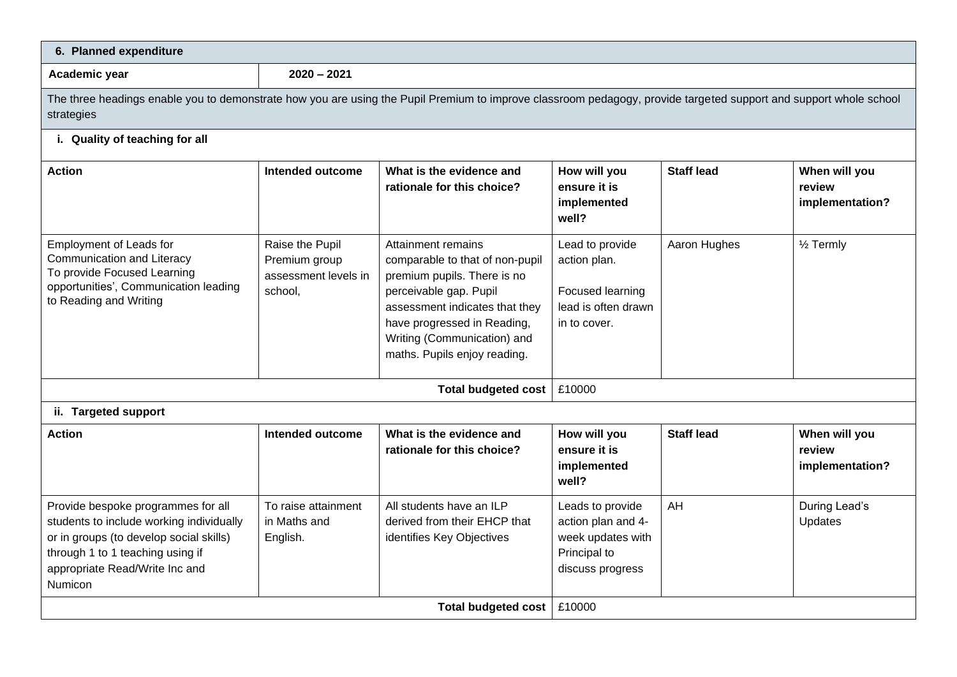| 6. Planned expenditure                                                                                                                                                                                     |                                                                     |                                                                                                                                                                                                                                                |                                                                                                 |                   |                                            |  |  |
|------------------------------------------------------------------------------------------------------------------------------------------------------------------------------------------------------------|---------------------------------------------------------------------|------------------------------------------------------------------------------------------------------------------------------------------------------------------------------------------------------------------------------------------------|-------------------------------------------------------------------------------------------------|-------------------|--------------------------------------------|--|--|
| Academic year                                                                                                                                                                                              | $2020 - 2021$                                                       |                                                                                                                                                                                                                                                |                                                                                                 |                   |                                            |  |  |
| The three headings enable you to demonstrate how you are using the Pupil Premium to improve classroom pedagogy, provide targeted support and support whole school<br>strategies                            |                                                                     |                                                                                                                                                                                                                                                |                                                                                                 |                   |                                            |  |  |
| i. Quality of teaching for all                                                                                                                                                                             |                                                                     |                                                                                                                                                                                                                                                |                                                                                                 |                   |                                            |  |  |
| <b>Action</b>                                                                                                                                                                                              | Intended outcome                                                    | What is the evidence and<br>rationale for this choice?                                                                                                                                                                                         | How will you<br>ensure it is<br>implemented<br>well?                                            | <b>Staff lead</b> | When will you<br>review<br>implementation? |  |  |
| <b>Employment of Leads for</b><br><b>Communication and Literacy</b><br>To provide Focused Learning<br>opportunities', Communication leading<br>to Reading and Writing                                      | Raise the Pupil<br>Premium group<br>assessment levels in<br>school, | Attainment remains<br>comparable to that of non-pupil<br>premium pupils. There is no<br>perceivable gap. Pupil<br>assessment indicates that they<br>have progressed in Reading,<br>Writing (Communication) and<br>maths. Pupils enjoy reading. | Lead to provide<br>action plan.<br>Focused learning<br>lead is often drawn<br>in to cover.      | Aaron Hughes      | $1/2$ Termly                               |  |  |
|                                                                                                                                                                                                            |                                                                     | <b>Total budgeted cost</b>                                                                                                                                                                                                                     | £10000                                                                                          |                   |                                            |  |  |
| ii. Targeted support                                                                                                                                                                                       |                                                                     |                                                                                                                                                                                                                                                |                                                                                                 |                   |                                            |  |  |
| <b>Action</b>                                                                                                                                                                                              | Intended outcome                                                    | What is the evidence and<br>rationale for this choice?                                                                                                                                                                                         | How will you<br>ensure it is<br>implemented<br>well?                                            | <b>Staff lead</b> | When will you<br>review<br>implementation? |  |  |
| Provide bespoke programmes for all<br>students to include working individually<br>or in groups (to develop social skills)<br>through 1 to 1 teaching using if<br>appropriate Read/Write Inc and<br>Numicon | To raise attainment<br>in Maths and<br>English.                     | All students have an ILP<br>derived from their EHCP that<br>identifies Key Objectives                                                                                                                                                          | Leads to provide<br>action plan and 4-<br>week updates with<br>Principal to<br>discuss progress | AH                | During Lead's<br>Updates                   |  |  |
|                                                                                                                                                                                                            |                                                                     | <b>Total budgeted cost</b>                                                                                                                                                                                                                     | £10000                                                                                          |                   |                                            |  |  |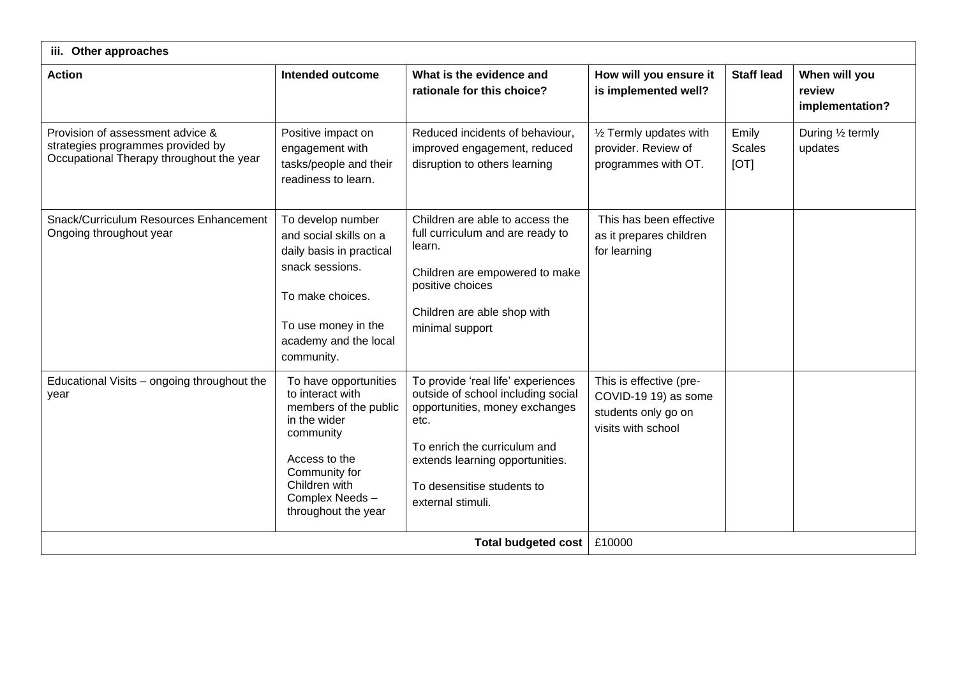| iii. Other approaches                                                                                             |                                                                                                                                                                                             |                                                                                                                                                                                                                                          |                                                                                              |                                |                                            |  |
|-------------------------------------------------------------------------------------------------------------------|---------------------------------------------------------------------------------------------------------------------------------------------------------------------------------------------|------------------------------------------------------------------------------------------------------------------------------------------------------------------------------------------------------------------------------------------|----------------------------------------------------------------------------------------------|--------------------------------|--------------------------------------------|--|
| <b>Action</b>                                                                                                     | Intended outcome                                                                                                                                                                            | What is the evidence and<br>rationale for this choice?                                                                                                                                                                                   | How will you ensure it<br>is implemented well?                                               | <b>Staff lead</b>              | When will you<br>review<br>implementation? |  |
| Provision of assessment advice &<br>strategies programmes provided by<br>Occupational Therapy throughout the year | Positive impact on<br>engagement with<br>tasks/people and their<br>readiness to learn.                                                                                                      | Reduced incidents of behaviour,<br>improved engagement, reduced<br>disruption to others learning                                                                                                                                         | 1/2 Termly updates with<br>provider. Review of<br>programmes with OT.                        | Emily<br><b>Scales</b><br>[OT] | During 1/2 termly<br>updates               |  |
| Snack/Curriculum Resources Enhancement<br>Ongoing throughout year                                                 | To develop number<br>and social skills on a<br>daily basis in practical<br>snack sessions.<br>To make choices.<br>To use money in the<br>academy and the local<br>community.                | Children are able to access the<br>full curriculum and are ready to<br>learn.<br>Children are empowered to make<br>positive choices<br>Children are able shop with<br>minimal support                                                    | This has been effective<br>as it prepares children<br>for learning                           |                                |                                            |  |
| Educational Visits - ongoing throughout the<br>vear                                                               | To have opportunities<br>to interact with<br>members of the public<br>in the wider<br>community<br>Access to the<br>Community for<br>Children with<br>Complex Needs-<br>throughout the year | To provide 'real life' experiences<br>outside of school including social<br>opportunities, money exchanges<br>etc.<br>To enrich the curriculum and<br>extends learning opportunities.<br>To desensitise students to<br>external stimuli. | This is effective (pre-<br>COVID-19 19) as some<br>students only go on<br>visits with school |                                |                                            |  |
| <b>Total budgeted cost</b>                                                                                        |                                                                                                                                                                                             |                                                                                                                                                                                                                                          | £10000                                                                                       |                                |                                            |  |